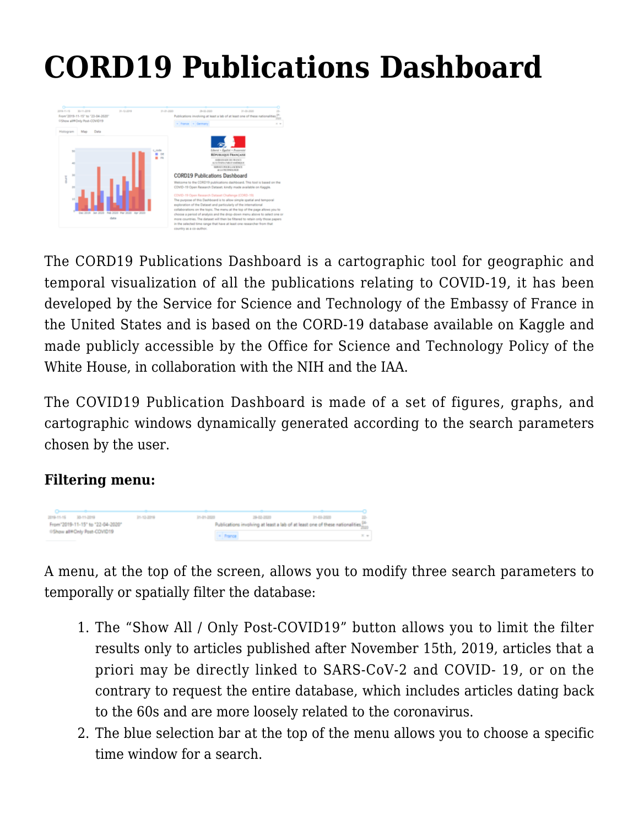# **[CORD19 Publications Dashboard](https://france-science.com/en/cord19-publications-dashboard-2/)**



The CORD19 Publications Dashboard is a cartographic tool for geographic and temporal visualization of all the publications relating to COVID-19, it has been developed by the Service for Science and Technology of the Embassy of France in the United States and is based on the CORD-19 database available on Kaggle and made publicly accessible by the Office for Science and Technology Policy of the White House, in collaboration with the NIH and the IAA.

The COVID19 Publication Dashboard is made of a set of figures, graphs, and cartographic windows dynamically generated according to the search parameters chosen by the user.

### **Filtering menu:**



A menu, at the top of the screen, allows you to modify three search parameters to temporally or spatially filter the database:

- 1. The "Show All / Only Post-COVID19" button allows you to limit the filter results only to articles published after November 15th, 2019, articles that a priori may be directly linked to SARS-CoV-2 and COVID- 19, or on the contrary to request the entire database, which includes articles dating back to the 60s and are more loosely related to the coronavirus.
- 2. The blue selection bar at the top of the menu allows you to choose a specific time window for a search.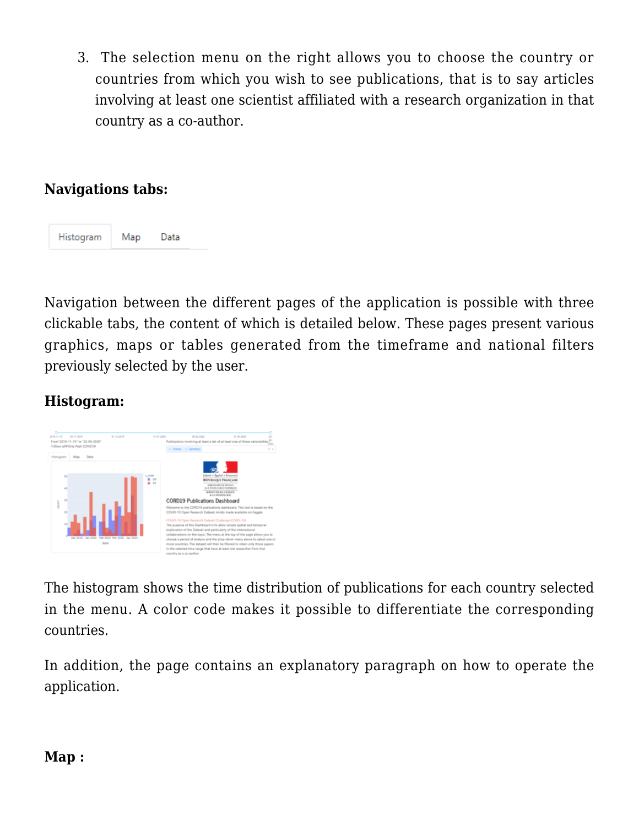3. The selection menu on the right allows you to choose the country or countries from which you wish to see publications, that is to say articles involving at least one scientist affiliated with a research organization in that country as a co-author.

### **Navigations tabs:**



Navigation between the different pages of the application is possible with three clickable tabs, the content of which is detailed below. These pages present various graphics, maps or tables generated from the timeframe and national filters previously selected by the user.

### **Histogram:**



The histogram shows the time distribution of publications for each country selected in the menu. A color code makes it possible to differentiate the corresponding countries.

In addition, the page contains an explanatory paragraph on how to operate the application.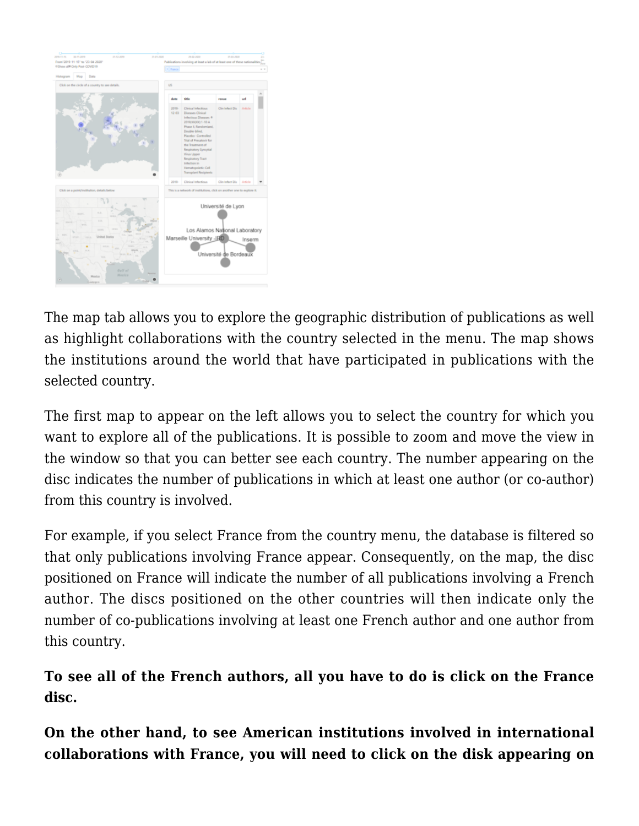

The map tab allows you to explore the geographic distribution of publications as well as highlight collaborations with the country selected in the menu. The map shows the institutions around the world that have participated in publications with the selected country.

The first map to appear on the left allows you to select the country for which you want to explore all of the publications. It is possible to zoom and move the view in the window so that you can better see each country. The number appearing on the disc indicates the number of publications in which at least one author (or co-author) from this country is involved.

For example, if you select France from the country menu, the database is filtered so that only publications involving France appear. Consequently, on the map, the disc positioned on France will indicate the number of all publications involving a French author. The discs positioned on the other countries will then indicate only the number of co-publications involving at least one French author and one author from this country.

## **To see all of the French authors, all you have to do is click on the France disc.**

**On the other hand, to see American institutions involved in international collaborations with France, you will need to click on the disk appearing on**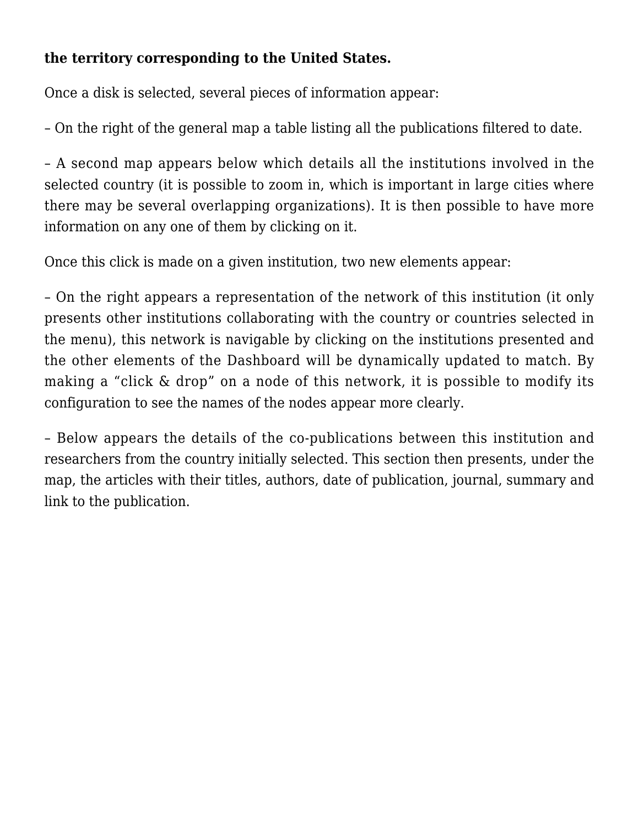### **the territory corresponding to the United States.**

Once a disk is selected, several pieces of information appear:

– On the right of the general map a table listing all the publications filtered to date.

– A second map appears below which details all the institutions involved in the selected country (it is possible to zoom in, which is important in large cities where there may be several overlapping organizations). It is then possible to have more information on any one of them by clicking on it.

Once this click is made on a given institution, two new elements appear:

– On the right appears a representation of the network of this institution (it only presents other institutions collaborating with the country or countries selected in the menu), this network is navigable by clicking on the institutions presented and the other elements of the Dashboard will be dynamically updated to match. By making a "click & drop" on a node of this network, it is possible to modify its configuration to see the names of the nodes appear more clearly.

– Below appears the details of the co-publications between this institution and researchers from the country initially selected. This section then presents, under the map, the articles with their titles, authors, date of publication, journal, summary and link to the publication.